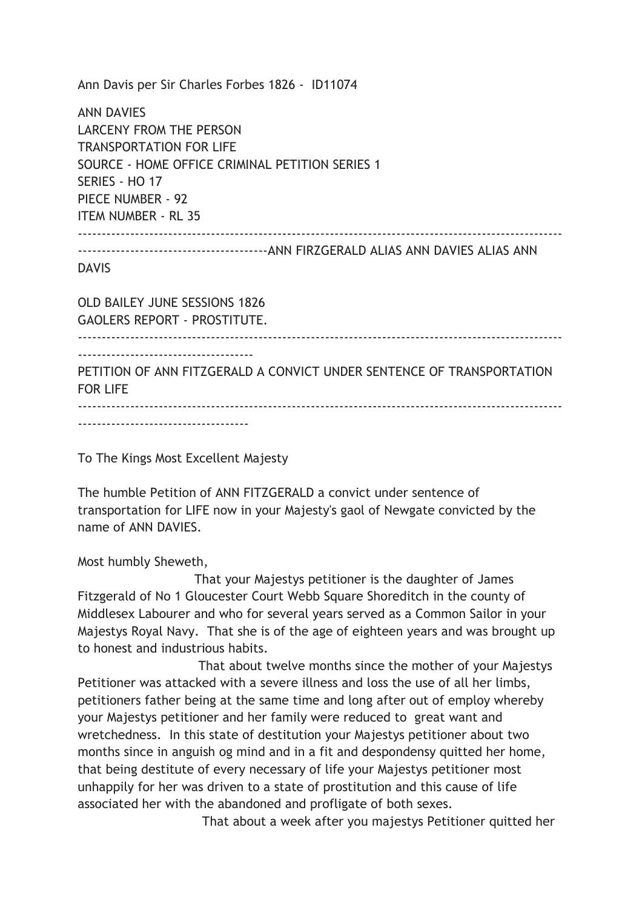Ann Davis per Sir Charles Forbes 1826 - ID11074 ANN DAVIES LARCENY FROM THE PERSON TRANSPORTATION FOR LIFE SOURCE - HOME OFFICE CRIMINAL PETITION SERIES 1 SERIES - HO 17 PIECE NUMBER - 92 ITEM NUMBER - RL 35 ------------------------------------------------------------------------------------------------------ ----------------------------------------ANN FIRZGERALD ALIAS ANN DAVIES ALIAS ANN DAVIS OLD BAILEY JUNE SESSIONS 1826 GAOLERS REPORT - PROSTITUTE. ------------------------------------------------------------------------------------------------------ ------------------------------------- PETITION OF ANN FITZGERALD A CONVICT UNDER SENTENCE OF TRANSPORTATION FOR LIFE ------------------------------------------------------------------------------------------------------ ------------------------------------

To The Kings Most Excellent Majesty

The humble Petition of ANN FITZGERALD a convict under sentence of transportation for LIFE now in your Majesty's gaol of Newgate convicted by the name of ANN DAVIES.

Most humbly Sheweth,

 That your Majestys petitioner is the daughter of James Fitzgerald of No 1 Gloucester Court Webb Square Shoreditch in the county of Middlesex Labourer and who for several years served as a Common Sailor in your Majestys Royal Navy. That she is of the age of eighteen years and was brought up to honest and industrious habits.

 That about twelve months since the mother of your Majestys Petitioner was attacked with a severe illness and loss the use of all her limbs, petitioners father being at the same time and long after out of employ whereby your Majestys petitioner and her family were reduced to great want and wretchedness. In this state of destitution your Majestys petitioner about two months since in anguish og mind and in a fit and despondensy quitted her home, that being destitute of every necessary of life your Majestys petitioner most unhappily for her was driven to a state of prostitution and this cause of life associated her with the abandoned and profligate of both sexes.

That about a week after you majestys Petitioner quitted her